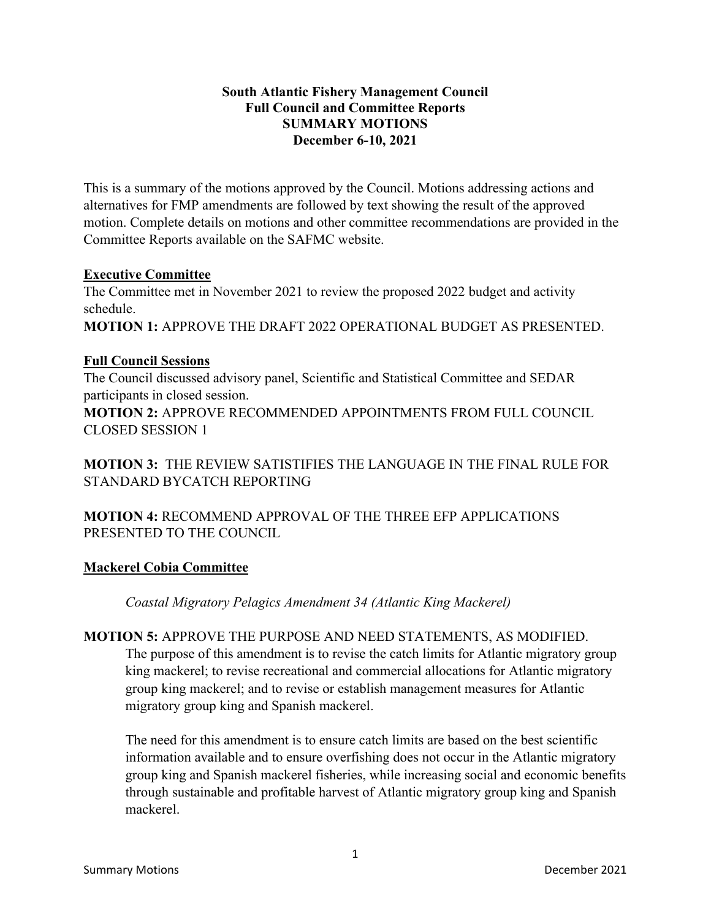#### **South Atlantic Fishery Management Council Full Council and Committee Reports SUMMARY MOTIONS December 6-10, 2021**

This is a summary of the motions approved by the Council. Motions addressing actions and alternatives for FMP amendments are followed by text showing the result of the approved motion. Complete details on motions and other committee recommendations are provided in the Committee Reports available on the SAFMC website.

#### **Executive Committee**

The Committee met in November 2021 to review the proposed 2022 budget and activity schedule.

**MOTION 1:** APPROVE THE DRAFT 2022 OPERATIONAL BUDGET AS PRESENTED.

# **Full Council Sessions**

The Council discussed advisory panel, Scientific and Statistical Committee and SEDAR participants in closed session.

**MOTION 2:** APPROVE RECOMMENDED APPOINTMENTS FROM FULL COUNCIL CLOSED SESSION 1

**MOTION 3:** THE REVIEW SATISTIFIES THE LANGUAGE IN THE FINAL RULE FOR STANDARD BYCATCH REPORTING

**MOTION 4:** RECOMMEND APPROVAL OF THE THREE EFP APPLICATIONS PRESENTED TO THE COUNCIL

# **Mackerel Cobia Committee**

*Coastal Migratory Pelagics Amendment 34 (Atlantic King Mackerel)*

**MOTION 5:** APPROVE THE PURPOSE AND NEED STATEMENTS, AS MODIFIED. The purpose of this amendment is to revise the catch limits for Atlantic migratory group king mackerel; to revise recreational and commercial allocations for Atlantic migratory group king mackerel; and to revise or establish management measures for Atlantic migratory group king and Spanish mackerel.

The need for this amendment is to ensure catch limits are based on the best scientific information available and to ensure overfishing does not occur in the Atlantic migratory group king and Spanish mackerel fisheries, while increasing social and economic benefits through sustainable and profitable harvest of Atlantic migratory group king and Spanish mackerel.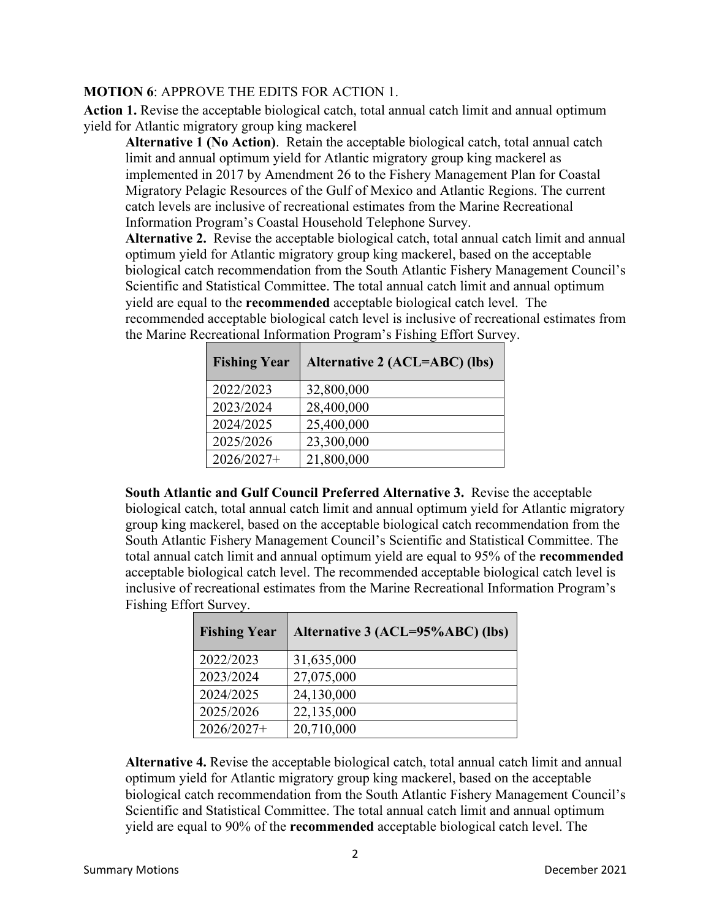# **MOTION 6**: APPROVE THE EDITS FOR ACTION 1.

**Action 1.** Revise the acceptable biological catch, total annual catch limit and annual optimum yield for Atlantic migratory group king mackerel

**Alternative 1 (No Action)**. Retain the acceptable biological catch, total annual catch limit and annual optimum yield for Atlantic migratory group king mackerel as implemented in 2017 by Amendment 26 to the Fishery Management Plan for Coastal Migratory Pelagic Resources of the Gulf of Mexico and Atlantic Regions. The current catch levels are inclusive of recreational estimates from the Marine Recreational Information Program's Coastal Household Telephone Survey.

**Alternative 2.** Revise the acceptable biological catch, total annual catch limit and annual optimum yield for Atlantic migratory group king mackerel, based on the acceptable biological catch recommendation from the South Atlantic Fishery Management Council's Scientific and Statistical Committee. The total annual catch limit and annual optimum yield are equal to the **recommended** acceptable biological catch level. The recommended acceptable biological catch level is inclusive of recreational estimates from the Marine Recreational Information Program's Fishing Effort Survey.

| <b>Fishing Year</b> | Alternative 2 (ACL=ABC) (lbs) |
|---------------------|-------------------------------|
| 2022/2023           | 32,800,000                    |
| 2023/2024           | 28,400,000                    |
| 2024/2025           | 25,400,000                    |
| 2025/2026           | 23,300,000                    |
| $2026/2027+$        | 21,800,000                    |

**South Atlantic and Gulf Council Preferred Alternative 3.** Revise the acceptable biological catch, total annual catch limit and annual optimum yield for Atlantic migratory group king mackerel, based on the acceptable biological catch recommendation from the South Atlantic Fishery Management Council's Scientific and Statistical Committee. The total annual catch limit and annual optimum yield are equal to 95% of the **recommended** acceptable biological catch level. The recommended acceptable biological catch level is inclusive of recreational estimates from the Marine Recreational Information Program's Fishing Effort Survey.

| <b>Fishing Year</b> | Alternative 3 (ACL=95%ABC) (lbs) |
|---------------------|----------------------------------|
| 2022/2023           | 31,635,000                       |
| 2023/2024           | 27,075,000                       |
| 2024/2025           | 24,130,000                       |
| 2025/2026           | 22,135,000                       |
| 2026/2027+          | 20,710,000                       |

**Alternative 4.** Revise the acceptable biological catch, total annual catch limit and annual optimum yield for Atlantic migratory group king mackerel, based on the acceptable biological catch recommendation from the South Atlantic Fishery Management Council's Scientific and Statistical Committee. The total annual catch limit and annual optimum yield are equal to 90% of the **recommended** acceptable biological catch level. The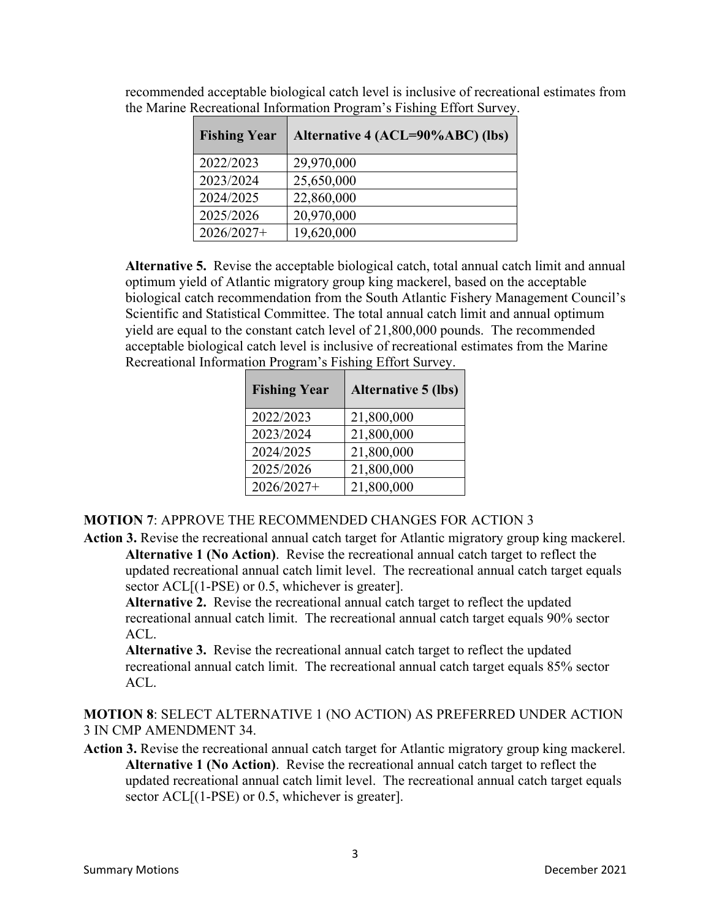| <b>Fishing Year</b> | Alternative 4 (ACL=90%ABC) (lbs) |
|---------------------|----------------------------------|
| 2022/2023           | 29,970,000                       |
| 2023/2024           | 25,650,000                       |
| 2024/2025           | 22,860,000                       |
| 2025/2026           | 20,970,000                       |
| $2026/2027+$        | 19,620,000                       |

recommended acceptable biological catch level is inclusive of recreational estimates from the Marine Recreational Information Program's Fishing Effort Survey.

**Alternative 5.** Revise the acceptable biological catch, total annual catch limit and annual optimum yield of Atlantic migratory group king mackerel, based on the acceptable biological catch recommendation from the South Atlantic Fishery Management Council's Scientific and Statistical Committee. The total annual catch limit and annual optimum yield are equal to the constant catch level of 21,800,000 pounds. The recommended acceptable biological catch level is inclusive of recreational estimates from the Marine Recreational Information Program's Fishing Effort Survey.

| <b>Fishing Year</b> | <b>Alternative 5 (lbs)</b> |
|---------------------|----------------------------|
| 2022/2023           | 21,800,000                 |
| 2023/2024           | 21,800,000                 |
| 2024/2025           | 21,800,000                 |
| 2025/2026           | 21,800,000                 |
| 2026/2027+          | 21,800,000                 |

# **MOTION 7**: APPROVE THE RECOMMENDED CHANGES FOR ACTION 3

**Action 3.** Revise the recreational annual catch target for Atlantic migratory group king mackerel. **Alternative 1 (No Action)**. Revise the recreational annual catch target to reflect the updated recreational annual catch limit level. The recreational annual catch target equals sector ACL[(1-PSE) or 0.5, whichever is greater].

**Alternative 2.** Revise the recreational annual catch target to reflect the updated recreational annual catch limit. The recreational annual catch target equals 90% sector  $ACL$ .

**Alternative 3.** Revise the recreational annual catch target to reflect the updated recreational annual catch limit. The recreational annual catch target equals 85% sector ACL.

**MOTION 8**: SELECT ALTERNATIVE 1 (NO ACTION) AS PREFERRED UNDER ACTION 3 IN CMP AMENDMENT 34.

**Action 3.** Revise the recreational annual catch target for Atlantic migratory group king mackerel. **Alternative 1 (No Action)**. Revise the recreational annual catch target to reflect the updated recreational annual catch limit level. The recreational annual catch target equals sector ACL[(1-PSE) or 0.5, whichever is greater].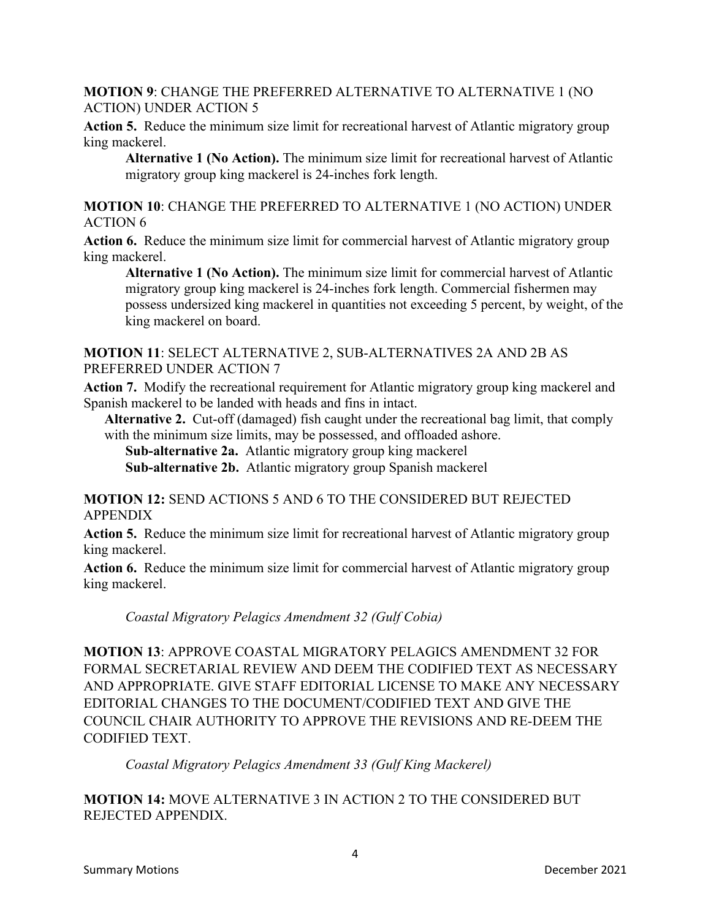#### **MOTION 9**: CHANGE THE PREFERRED ALTERNATIVE TO ALTERNATIVE 1 (NO ACTION) UNDER ACTION 5

**Action 5.** Reduce the minimum size limit for recreational harvest of Atlantic migratory group king mackerel.

**Alternative 1 (No Action).** The minimum size limit for recreational harvest of Atlantic migratory group king mackerel is 24-inches fork length.

**MOTION 10**: CHANGE THE PREFERRED TO ALTERNATIVE 1 (NO ACTION) UNDER ACTION 6

**Action 6.** Reduce the minimum size limit for commercial harvest of Atlantic migratory group king mackerel.

**Alternative 1 (No Action).** The minimum size limit for commercial harvest of Atlantic migratory group king mackerel is 24-inches fork length. Commercial fishermen may possess undersized king mackerel in quantities not exceeding 5 percent, by weight, of the king mackerel on board.

#### **MOTION 11**: SELECT ALTERNATIVE 2, SUB-ALTERNATIVES 2A AND 2B AS PREFERRED UNDER ACTION 7

**Action 7.** Modify the recreational requirement for Atlantic migratory group king mackerel and Spanish mackerel to be landed with heads and fins in intact.

**Alternative 2.** Cut-off (damaged) fish caught under the recreational bag limit, that comply with the minimum size limits, may be possessed, and offloaded ashore.

**Sub-alternative 2a.** Atlantic migratory group king mackerel

**Sub-alternative 2b.** Atlantic migratory group Spanish mackerel

# **MOTION 12:** SEND ACTIONS 5 AND 6 TO THE CONSIDERED BUT REJECTED APPENDIX

**Action 5.** Reduce the minimum size limit for recreational harvest of Atlantic migratory group king mackerel.

Action 6. Reduce the minimum size limit for commercial harvest of Atlantic migratory group king mackerel.

*Coastal Migratory Pelagics Amendment 32 (Gulf Cobia)*

**MOTION 13**: APPROVE COASTAL MIGRATORY PELAGICS AMENDMENT 32 FOR FORMAL SECRETARIAL REVIEW AND DEEM THE CODIFIED TEXT AS NECESSARY AND APPROPRIATE. GIVE STAFF EDITORIAL LICENSE TO MAKE ANY NECESSARY EDITORIAL CHANGES TO THE DOCUMENT/CODIFIED TEXT AND GIVE THE COUNCIL CHAIR AUTHORITY TO APPROVE THE REVISIONS AND RE-DEEM THE CODIFIED TEXT.

*Coastal Migratory Pelagics Amendment 33 (Gulf King Mackerel)*

**MOTION 14:** MOVE ALTERNATIVE 3 IN ACTION 2 TO THE CONSIDERED BUT REJECTED APPENDIX.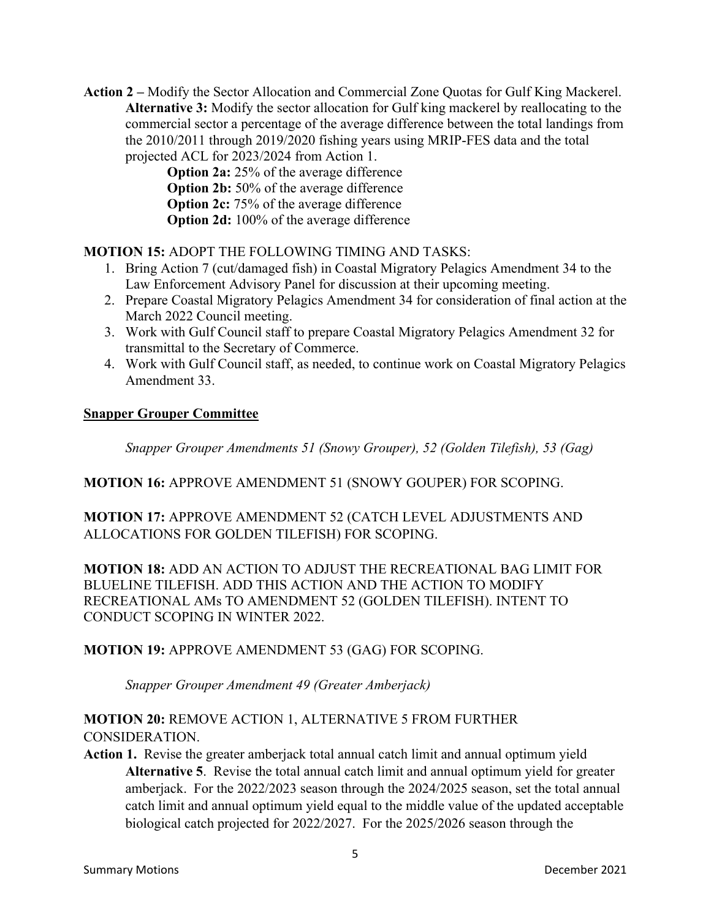**Action 2 –** Modify the Sector Allocation and Commercial Zone Quotas for Gulf King Mackerel. **Alternative 3:** Modify the sector allocation for Gulf king mackerel by reallocating to the commercial sector a percentage of the average difference between the total landings from the 2010/2011 through 2019/2020 fishing years using MRIP-FES data and the total projected ACL for 2023/2024 from Action 1.

**Option 2a:** 25% of the average difference **Option 2b:** 50% of the average difference **Option 2c:** 75% of the average difference **Option 2d:** 100% of the average difference

**MOTION 15:** ADOPT THE FOLLOWING TIMING AND TASKS:

- 1. Bring Action 7 (cut/damaged fish) in Coastal Migratory Pelagics Amendment 34 to the Law Enforcement Advisory Panel for discussion at their upcoming meeting.
- 2. Prepare Coastal Migratory Pelagics Amendment 34 for consideration of final action at the March 2022 Council meeting.
- 3. Work with Gulf Council staff to prepare Coastal Migratory Pelagics Amendment 32 for transmittal to the Secretary of Commerce.
- 4. Work with Gulf Council staff, as needed, to continue work on Coastal Migratory Pelagics Amendment 33.

#### **Snapper Grouper Committee**

*Snapper Grouper Amendments 51 (Snowy Grouper), 52 (Golden Tilefish), 53 (Gag)*

**MOTION 16:** APPROVE AMENDMENT 51 (SNOWY GOUPER) FOR SCOPING.

**MOTION 17:** APPROVE AMENDMENT 52 (CATCH LEVEL ADJUSTMENTS AND ALLOCATIONS FOR GOLDEN TILEFISH) FOR SCOPING.

**MOTION 18:** ADD AN ACTION TO ADJUST THE RECREATIONAL BAG LIMIT FOR BLUELINE TILEFISH. ADD THIS ACTION AND THE ACTION TO MODIFY RECREATIONAL AMs TO AMENDMENT 52 (GOLDEN TILEFISH). INTENT TO CONDUCT SCOPING IN WINTER 2022.

# **MOTION 19:** APPROVE AMENDMENT 53 (GAG) FOR SCOPING.

*Snapper Grouper Amendment 49 (Greater Amberjack)*

# **MOTION 20:** REMOVE ACTION 1, ALTERNATIVE 5 FROM FURTHER CONSIDERATION.

**Action 1.** Revise the greater amberjack total annual catch limit and annual optimum yield **Alternative 5**. Revise the total annual catch limit and annual optimum yield for greater amberjack. For the 2022/2023 season through the 2024/2025 season, set the total annual catch limit and annual optimum yield equal to the middle value of the updated acceptable biological catch projected for 2022/2027. For the 2025/2026 season through the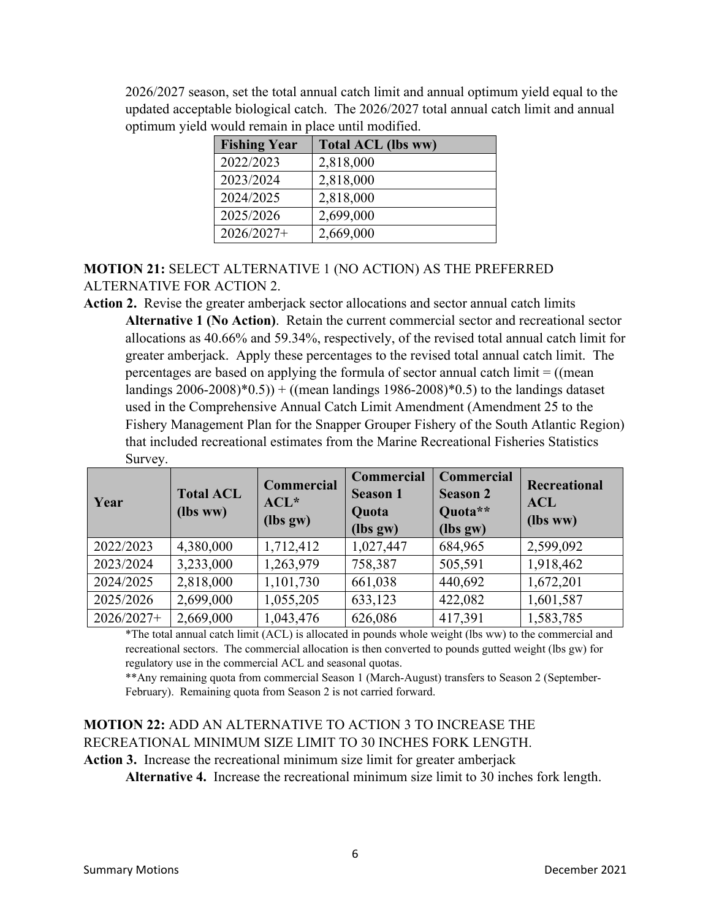2026/2027 season, set the total annual catch limit and annual optimum yield equal to the updated acceptable biological catch. The 2026/2027 total annual catch limit and annual optimum yield would remain in place until modified.

| <b>Fishing Year</b> | <b>Total ACL (lbs ww)</b> |
|---------------------|---------------------------|
| 2022/2023           | 2,818,000                 |
| 2023/2024           | 2,818,000                 |
| 2024/2025           | 2,818,000                 |
| 2025/2026           | 2,699,000                 |
| $2026/2027+$        | 2,669,000                 |

# **MOTION 21:** SELECT ALTERNATIVE 1 (NO ACTION) AS THE PREFERRED ALTERNATIVE FOR ACTION 2.

**Action 2.** Revise the greater amberjack sector allocations and sector annual catch limits **Alternative 1 (No Action)**. Retain the current commercial sector and recreational sector allocations as 40.66% and 59.34%, respectively, of the revised total annual catch limit for greater amberjack. Apply these percentages to the revised total annual catch limit. The percentages are based on applying the formula of sector annual catch limit = ((mean landings  $2006-2008$ <sup>\*</sup> $(0.5)$  + ((mean landings 1986-2008)<sup>\*</sup> $(0.5)$  to the landings dataset used in the Comprehensive Annual Catch Limit Amendment (Amendment 25 to the Fishery Management Plan for the Snapper Grouper Fishery of the South Atlantic Region) that included recreational estimates from the Marine Recreational Fisheries Statistics Survey.

| Year       | <b>Total ACL</b><br>(lbs ww) | Commercial<br>$ACL^*$<br>(lbs gw) | <b>Commercial</b><br><b>Season 1</b><br>Quota<br>(lbs gw) | <b>Commercial</b><br><b>Season 2</b><br>Quota**<br>(lbs gw) | Recreational<br><b>ACL</b><br>(lbs ww) |
|------------|------------------------------|-----------------------------------|-----------------------------------------------------------|-------------------------------------------------------------|----------------------------------------|
| 2022/2023  | 4,380,000                    | 1,712,412                         | 1,027,447                                                 | 684,965                                                     | 2,599,092                              |
| 2023/2024  | 3,233,000                    | 1,263,979                         | 758,387                                                   | 505,591                                                     | 1,918,462                              |
| 2024/2025  | 2,818,000                    | 1,101,730                         | 661,038                                                   | 440,692                                                     | 1,672,201                              |
| 2025/2026  | 2,699,000                    | 1,055,205                         | 633,123                                                   | 422,082                                                     | 1,601,587                              |
| 2026/2027+ | 2,669,000                    | 1,043,476                         | 626,086                                                   | 417,391                                                     | 1,583,785                              |

\*The total annual catch limit (ACL) is allocated in pounds whole weight (lbs ww) to the commercial and recreational sectors. The commercial allocation is then converted to pounds gutted weight (lbs gw) for regulatory use in the commercial ACL and seasonal quotas.

\*\*Any remaining quota from commercial Season 1 (March-August) transfers to Season 2 (September-February). Remaining quota from Season 2 is not carried forward.

# **MOTION 22:** ADD AN ALTERNATIVE TO ACTION 3 TO INCREASE THE RECREATIONAL MINIMUM SIZE LIMIT TO 30 INCHES FORK LENGTH.

**Action 3.** Increase the recreational minimum size limit for greater amberjack

**Alternative 4.** Increase the recreational minimum size limit to 30 inches fork length.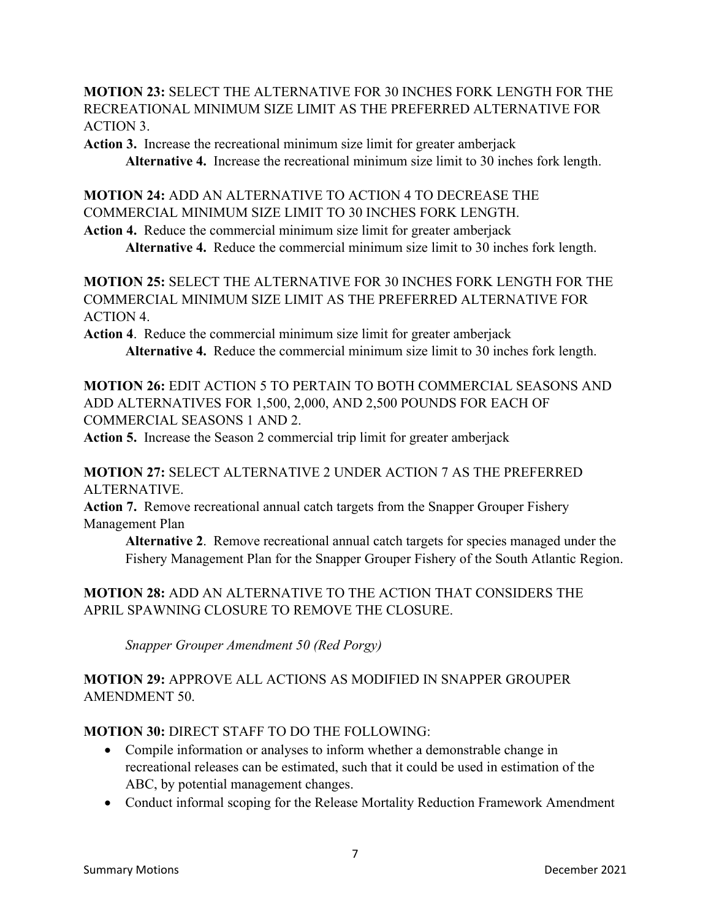**MOTION 23:** SELECT THE ALTERNATIVE FOR 30 INCHES FORK LENGTH FOR THE RECREATIONAL MINIMUM SIZE LIMIT AS THE PREFERRED ALTERNATIVE FOR ACTION 3.

**Action 3.** Increase the recreational minimum size limit for greater amberjack **Alternative 4.** Increase the recreational minimum size limit to 30 inches fork length.

**MOTION 24:** ADD AN ALTERNATIVE TO ACTION 4 TO DECREASE THE COMMERCIAL MINIMUM SIZE LIMIT TO 30 INCHES FORK LENGTH.

**Action 4.** Reduce the commercial minimum size limit for greater amberjack **Alternative 4.** Reduce the commercial minimum size limit to 30 inches fork length.

**MOTION 25:** SELECT THE ALTERNATIVE FOR 30 INCHES FORK LENGTH FOR THE COMMERCIAL MINIMUM SIZE LIMIT AS THE PREFERRED ALTERNATIVE FOR ACTION 4.

**Action 4**. Reduce the commercial minimum size limit for greater amberjack **Alternative 4.** Reduce the commercial minimum size limit to 30 inches fork length.

**MOTION 26:** EDIT ACTION 5 TO PERTAIN TO BOTH COMMERCIAL SEASONS AND ADD ALTERNATIVES FOR 1,500, 2,000, AND 2,500 POUNDS FOR EACH OF COMMERCIAL SEASONS 1 AND 2.

**Action 5.** Increase the Season 2 commercial trip limit for greater amberjack

**MOTION 27:** SELECT ALTERNATIVE 2 UNDER ACTION 7 AS THE PREFERRED ALTERNATIVE.

**Action 7.** Remove recreational annual catch targets from the Snapper Grouper Fishery Management Plan

**Alternative 2**. Remove recreational annual catch targets for species managed under the Fishery Management Plan for the Snapper Grouper Fishery of the South Atlantic Region.

# **MOTION 28:** ADD AN ALTERNATIVE TO THE ACTION THAT CONSIDERS THE APRIL SPAWNING CLOSURE TO REMOVE THE CLOSURE.

*Snapper Grouper Amendment 50 (Red Porgy)*

**MOTION 29:** APPROVE ALL ACTIONS AS MODIFIED IN SNAPPER GROUPER AMENDMENT 50.

# **MOTION 30:** DIRECT STAFF TO DO THE FOLLOWING:

- Compile information or analyses to inform whether a demonstrable change in recreational releases can be estimated, such that it could be used in estimation of the ABC, by potential management changes.
- Conduct informal scoping for the Release Mortality Reduction Framework Amendment